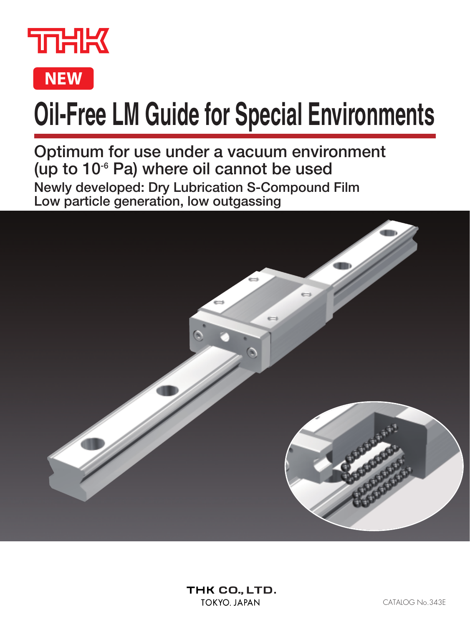



# **Oil-Free LM Guide for Special Environments**

**Optimum for use under a vacuum environment (up to 10-6 Pa) where oil cannot be used Newly developed: Dry Lubrication S-Compound Film Low particle generation, low outgassing**

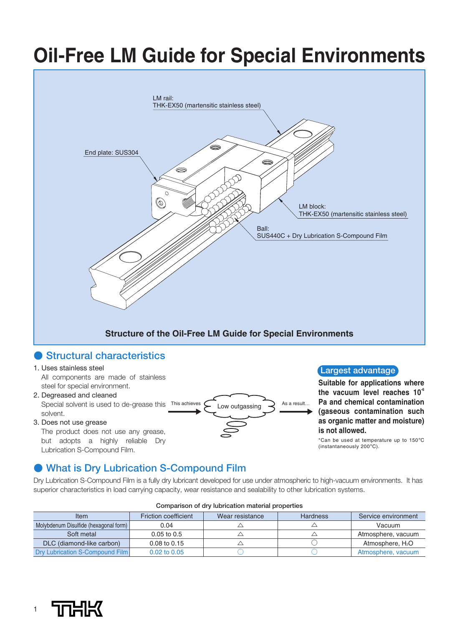# **Oil-Free LM Guide for Special Environments**



### ● **Structural characteristics**

#### 1. Uses stainless steel

All components are made of stainless steel for special environment.

- 2. Degreased and cleaned Special solvent is used to de-grease this This achieves solvent.
- 3. Does not use grease

The product does not use any grease, but adopts a highly reliable Dry Lubrication S-Compound Film.

### ● **What is Dry Lubrication S-Compound Film**

Dry Lubrication S-Compound Film is a fully dry lubricant developed for use under atmospheric to high-vacuum environments. It has superior characteristics in load carrying capacity, wear resistance and sealability to other lubrication systems.

Low outgassing  $\bigotimes$  As a result.

**Suitable for applications where the vacuum level reaches 10-6 Pa and chemical contamination (gaseous contamination such as organic matter and moisture)** 

**Largest advantage**

\*Can be used at temperature up to 150°C<br>(instantaneously 200°C).

**is not allowed.**

| <u>UUIIIparisuri UI ary labrication matchal properties</u> |                             |                 |                 |                              |  |  |  |  |
|------------------------------------------------------------|-----------------------------|-----------------|-----------------|------------------------------|--|--|--|--|
| Item                                                       | <b>Friction coefficient</b> | Wear resistance | <b>Hardness</b> | Service environment          |  |  |  |  |
| Molybdenum Disulfide (hexagonal form)<br>0.04              |                             |                 |                 | Vacuum                       |  |  |  |  |
| Soft metal<br>$0.05$ to $0.5$                              |                             |                 |                 | Atmosphere, vacuum           |  |  |  |  |
| DLC (diamond-like carbon)                                  | 0.08 to 0.15                |                 |                 | Atmosphere, H <sub>2</sub> O |  |  |  |  |
| Dry Lubrication S-Compound Film                            | 0.02 to 0.05                |                 |                 | Atmosphere, yacuum           |  |  |  |  |

#### **Comparison of dry lubrication material properties**

1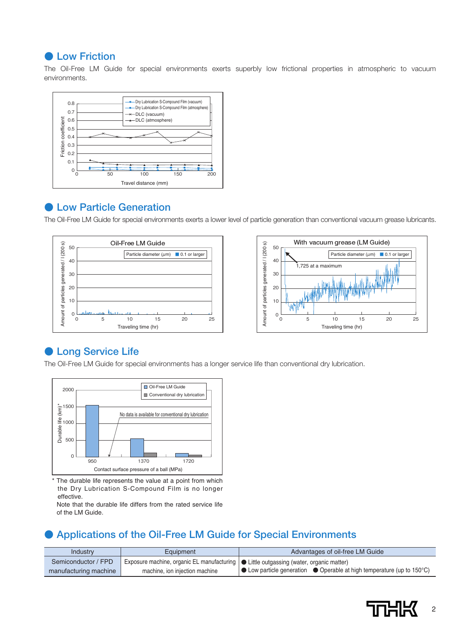#### **● Low Friction**

The Oil-Free LM Guide for special environments exerts superbly low frictional properties in atmospheric to vacuum environments.



#### ● Low Particle Generation

The Oil-Free LM Guide for special environments exerts a lower level of particle generation than conventional vacuum grease lubricants.





### ● **Long Service Life**



\* The durable life represents the value at a point from which the Dry Lubrication S-Compound Film is no longer effective.

Note that the durable life differs from the rated service life of the LM Guide.

### ● **Applications of the Oil-Free LM Guide for Special Environments**

| Industry              | Equipment                                                                                  | Advantages of oil-free LM Guide                                                                   |
|-----------------------|--------------------------------------------------------------------------------------------|---------------------------------------------------------------------------------------------------|
| Semiconductor / FPD   | A Exposure machine, organic EL manufacturing   ● Little outgassing (water, organic matter) |                                                                                                   |
| manufacturing machine | machine, ion injection machine                                                             | $\bullet$ Low particle generation $\bullet$ Operable at high temperature (up to 150 $^{\circ}$ C) |

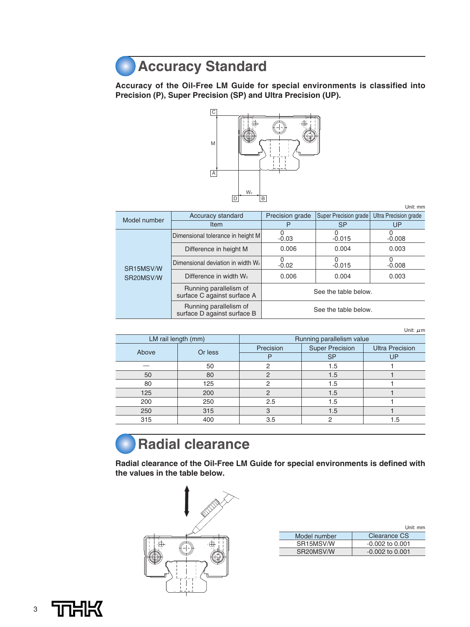### **Accuracy Standard**

**Accuracy of the Oil-Free LM Guide for special environments is classified into Precision (P), Super Precision (SP) and Ultra Precision (UP).**



|                        |                                                       |                                     |                              | Unit: mm                     |  |
|------------------------|-------------------------------------------------------|-------------------------------------|------------------------------|------------------------------|--|
| Model number           | Accuracy standard                                     | Precision grade                     | <b>Super Precision grade</b> | <b>Ultra Precision grade</b> |  |
|                        | <b>Item</b>                                           | P                                   | <b>SP</b>                    | UP                           |  |
|                        | Dimensional tolerance in height M                     | <sup>0</sup><br>$-0.03$<br>$-0.015$ |                              | $-0.008$                     |  |
|                        | Difference in height M                                | 0.004<br>0.006                      |                              | 0.003                        |  |
| SR <sub>15</sub> MSV/W | Dimensional deviation in width W <sub>2</sub>         | <sup>0</sup><br>$-0.02$             | $-0.015$                     | O<br>$-0.008$                |  |
| SR20MSV/W              | Difference in width W <sub>2</sub>                    | 0.006                               | 0.004                        | 0.003                        |  |
|                        | Running parallelism of<br>surface C against surface A | See the table below.                |                              |                              |  |
|                        | Running parallelism of<br>surface D against surface B | See the table below.                |                              |                              |  |

| Unit: $\mu$ m |  |
|---------------|--|

| $O(10L)$ $\mu$ $10L$ |     |                                     |           |                        |  |  |
|----------------------|-----|-------------------------------------|-----------|------------------------|--|--|
| LM rail length (mm)  |     | Running parallelism value           |           |                        |  |  |
| Or less<br>Above     |     | <b>Super Precision</b><br>Precision |           | <b>Ultra Precision</b> |  |  |
|                      |     |                                     | <b>SP</b> | UP                     |  |  |
|                      | 50  | 2                                   | 1.5       |                        |  |  |
| 50                   | 80  | 2                                   | 1.5       |                        |  |  |
| 80                   | 125 | 2                                   | 1.5       |                        |  |  |
| 125                  | 200 | 2                                   | 1.5       |                        |  |  |
| 200                  | 250 | 2.5                                 | 1.5       |                        |  |  |
| 250                  | 315 | 3                                   | 1.5       |                        |  |  |
| 315                  | 400 | 3.5                                 |           | 1.5                    |  |  |

### **Radial clearance**

**Radial clearance of the Oil-Free LM Guide for special environments is defined with the values in the table below.**



|                        | Unit: mm          |
|------------------------|-------------------|
| Model number           | Clearance CS      |
| SR <sub>15</sub> MSV/W | $-0.002$ to 0.001 |
| SR <sub>20</sub> MSV/W | $-0.002$ to 0.001 |

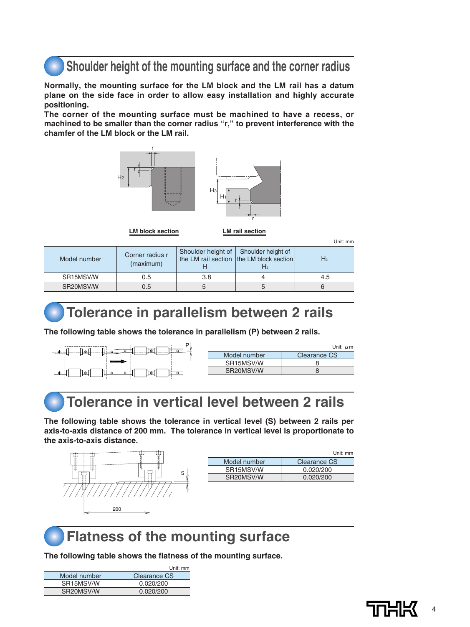### **Shoulder height of the mounting surface and the corner radius**

**Normally, the mounting surface for the LM block and the LM rail has a datum plane on the side face in order to allow easy installation and highly accurate positioning.**

**The corner of the mounting surface must be machined to have a recess, or machined to be smaller than the corner radius "r," to prevent interference with the chamfer of the LM block or the LM rail.**





**LM block section LM rail section**

| ۰. |  |
|----|--|
|    |  |

| Model number           | Corner radius r<br>(maximum) | Shoulder height of Shoulder height of | the LM rail section the LM block section<br>H2. | Hз  |
|------------------------|------------------------------|---------------------------------------|-------------------------------------------------|-----|
| SR <sub>15</sub> MSV/W | 0.5                          | 3.8                                   |                                                 | 4.5 |
| SR20MSV/W              | 0.5                          |                                       |                                                 |     |

### **Tolerance in parallelism between 2 rails**

**The following table shows the tolerance in parallelism (P) between 2 rails.**



|                        | Unit: $\mu$ m |
|------------------------|---------------|
| Model number           | Clearance CS  |
| SR <sub>15</sub> MSV/W |               |
| SR20MSV/W              |               |

### **Tolerance in vertical level between 2 rails**

**The following table shows the tolerance in vertical level (S) between 2 rails per axis-to-axis distance of 200 mm. The tolerance in vertical level is proportionate to the axis-to-axis distance.**



|                        | Unit: mm     |
|------------------------|--------------|
| Model number           | Clearance CS |
| SR <sub>15</sub> MSV/W | 0.020/200    |
| SR <sub>20</sub> MSV/W | 0.020/200    |
|                        |              |



### **Flatness of the mounting surface**

**The following table shows the flatness of the mounting surface.**

|                        | Unit: mm     |
|------------------------|--------------|
| Model number           | Clearance CS |
| SR <sub>15</sub> MSV/W | 0.020/200    |
| SR <sub>20</sub> MSV/W | 0.020/200    |

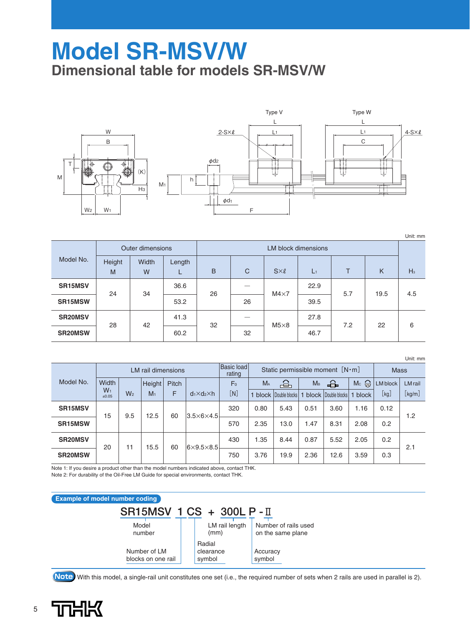### **Model SR-MSV/W Dimensional table for models SR-MSV/W**



|                |             |                  |        |                            |      |                 |       |     | Unit: mm |       |  |  |
|----------------|-------------|------------------|--------|----------------------------|------|-----------------|-------|-----|----------|-------|--|--|
|                |             | Outer dimensions |        | <b>LM block dimensions</b> |      |                 |       |     |          |       |  |  |
| Model No.      | Height<br>M | Width<br>W       | Length | B                          | C    | $S \times \ell$ | $L_1$ | т   | K        | $H_3$ |  |  |
| <b>SR15MSV</b> | 24          | 34               | 36.6   | 26                         | -    | $M4\times7$     | 22.9  | 5.7 | 19.5     | 4.5   |  |  |
| SR15MSW        |             |                  |        |                            | 53.2 |                 | 26    |     | 39.5     |       |  |  |
| <b>SR20MSV</b> | 28          | 42               | 41.3   | 32                         |      | $M5\times8$     | 27.8  | 7.2 | 22       | 6     |  |  |
| <b>SR20MSW</b> |             |                  | 60.2   |                            | 32   |                 | 46.7  |     |          |       |  |  |

|                |                           |                |                |       |                           |                      |                                         |                            |                |                            |       |                               | Unit: mm                   |
|----------------|---------------------------|----------------|----------------|-------|---------------------------|----------------------|-----------------------------------------|----------------------------|----------------|----------------------------|-------|-------------------------------|----------------------------|
|                | <b>LM</b> rail dimensions |                |                |       |                           | Basic load<br>rating | Static permissible moment $[N \cdot m]$ |                            |                | <b>Mass</b>                |       |                               |                            |
| Model No.      | Width                     |                | Height         | Pitch |                           | F <sub>0</sub>       | M <sub>A</sub>                          | 合                          | M <sub>B</sub> | €                          | Mc    | <b>LM</b> block               | <b>LM</b> rail             |
|                | $W_1$<br>±0.05            | W <sub>2</sub> | M <sub>1</sub> | F     | $d_1 \times d_2 \times h$ | [N]                  | 1                                       | <b>block</b> Double blocks |                | <b>block</b> Double blocks | block | $\lfloor \mathsf{kg} \rfloor$ | $\left[\text{kg/m}\right]$ |
| <b>SR15MSV</b> | 15                        | 9.5            | 12.5           | 60    | $3.5\times 6\times 4.5$   | 320                  | 0.80                                    | 5.43                       | 0.51           | 3.60                       | 1.16  | 0.12                          | 1.2                        |
| <b>SR15MSW</b> |                           |                |                |       |                           | 570                  | 2.35                                    | 13.0                       | 1.47           | 8.31                       | 2.08  | 0.2                           |                            |
| <b>SR20MSV</b> | 20                        | 11             | 15.5           | 60    | $6\times9.5\times8.5$     | 430                  | 1.35                                    | 8.44                       | 0.87           | 5.52                       | 2.05  | 0.2                           | 2.1                        |
| <b>SR20MSW</b> |                           |                |                |       |                           | 750                  | 3.76                                    | 19.9                       | 2.36           | 12.6                       | 3.59  | 0.3                           |                            |

Note 1: If you desire a product other than the model numbers indicated above, contact THK. Note 2: For durability of the Oil-Free LM Guide for special environments, contact THK.



**Note** With this model, a single-rail unit constitutes one set (i.e., the required number of sets when 2 rails are used in parallel is 2).

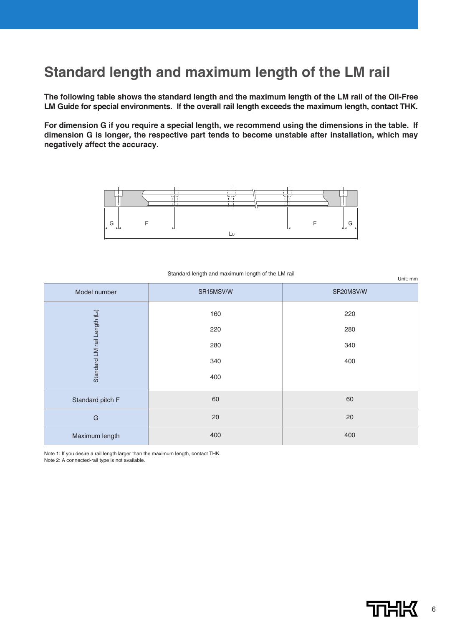### **Standard length and maximum length of the LM rail**

**The following table shows the standard length and the maximum length of the LM rail of the Oil-Free LM Guide for special environments. If the overall rail length exceeds the maximum length, contact THK.**

**For dimension G if you require a special length, we recommend using the dimensions in the table. If dimension G is longer, the respective part tends to become unstable after installation, which may negatively affect the accuracy.**



| Model number                             | SR15MSV/W | SR20MSV/W |  |  |
|------------------------------------------|-----------|-----------|--|--|
|                                          | 160       | 220       |  |  |
| Standard LM rail Length (L <sub>o)</sub> | 220       | 280       |  |  |
|                                          | 280       | 340       |  |  |
|                                          | 340       | 400       |  |  |
|                                          | 400       |           |  |  |
| Standard pitch F                         | 60        | 60        |  |  |
| G                                        | 20        | 20        |  |  |
| Maximum length                           | 400       | 400       |  |  |

Standard length and maximum length of the LM rail

Unit: mm

Note 1: If you desire a rail length larger than the maximum length, contact THK. Note 2: A connected-rail type is not available.

6